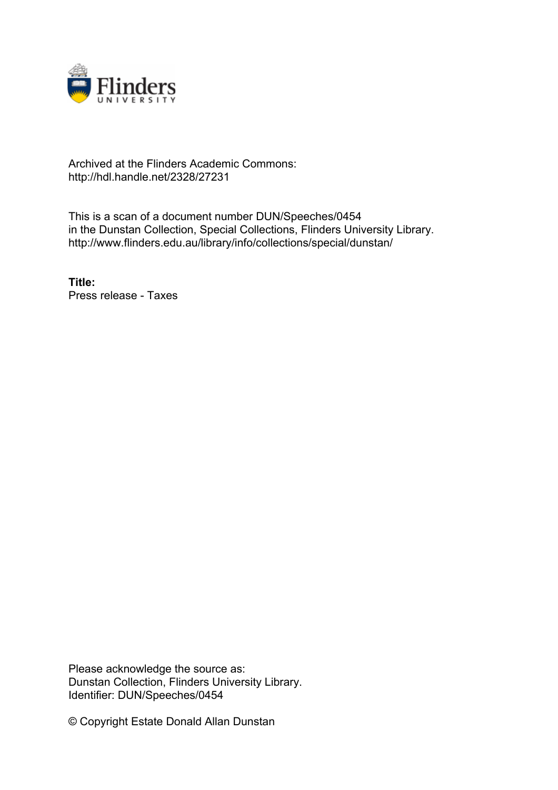

## Archived at the Flinders Academic Commons: http://hdl.handle.net/2328/27231

This is a scan of a document number DUN/Speeches/0454 in the Dunstan Collection, Special Collections, Flinders University Library. http://www.flinders.edu.au/library/info/collections/special/dunstan/

**Title:** Press release - Taxes

Please acknowledge the source as: Dunstan Collection, Flinders University Library. Identifier: DUN/Speeches/0454

© Copyright Estate Donald Allan Dunstan